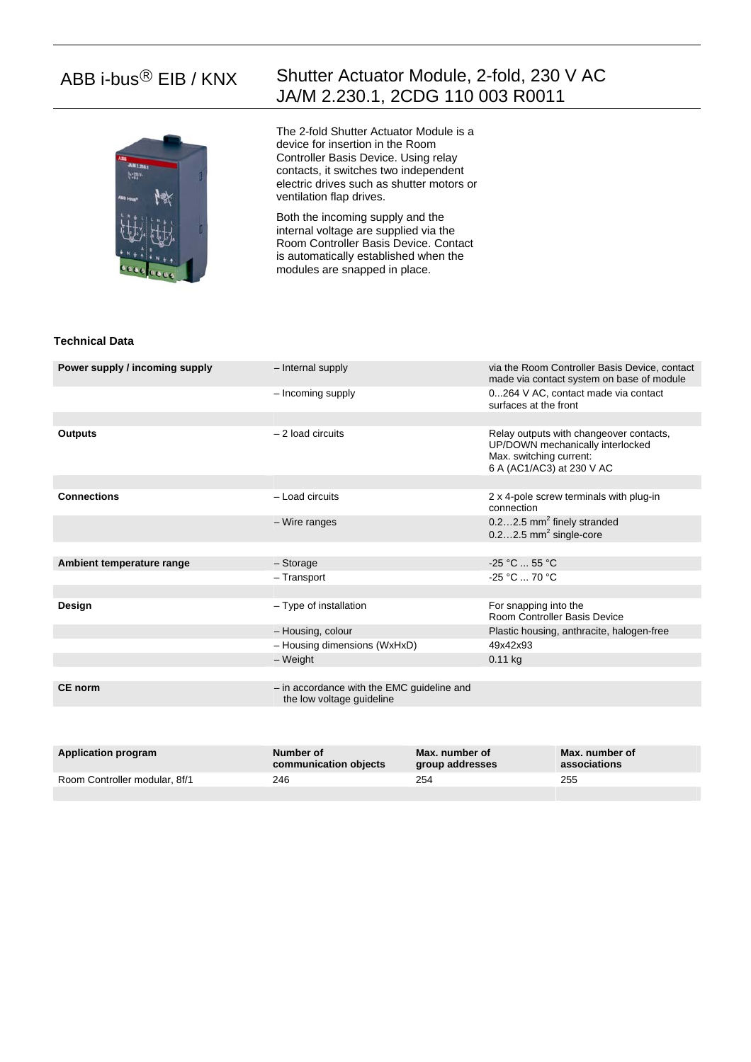

# ABB i-bus<sup>®</sup> EIB / KNX Shutter Actuator Module, 2-fold, 230 V AC JA/M 2.230.1, 2CDG 110 003 R0011

The 2-fold Shutter Actuator Module is a device for insertion in the Room Controller Basis Device. Using relay contacts, it switches two independent electric drives such as shutter motors or ventilation flap drives.

Both the incoming supply and the internal voltage are supplied via the Room Controller Basis Device. Contact is automatically established when the modules are snapped in place.

## **Technical Data**

| <b>CE</b> norm                 | - in accordance with the EMC guideline and<br>the low voltage guideline |                                                                                                                                     |
|--------------------------------|-------------------------------------------------------------------------|-------------------------------------------------------------------------------------------------------------------------------------|
|                                | - Housing dimensions (WxHxD)<br>– Weight                                | 49x42x93<br>$0.11$ kg                                                                                                               |
|                                | - Housing, colour                                                       | Plastic housing, anthracite, halogen-free                                                                                           |
| Design                         | - Type of installation                                                  | For snapping into the<br>Room Controller Basis Device                                                                               |
|                                | - Transport                                                             | -25 °C  70 °C                                                                                                                       |
| Ambient temperature range      | - Storage                                                               | $-25 °C$ 55 °C                                                                                                                      |
|                                | - Wire ranges                                                           | $0.22.5$ mm <sup>2</sup> finely stranded<br>$0.22.5$ mm <sup>2</sup> single-core                                                    |
| <b>Connections</b>             | $-$ Load circuits                                                       | 2 x 4-pole screw terminals with plug-in<br>connection                                                                               |
| <b>Outputs</b>                 | $-2$ load circuits                                                      | Relay outputs with changeover contacts,<br>UP/DOWN mechanically interlocked<br>Max. switching current:<br>6 A (AC1/AC3) at 230 V AC |
|                                | - Incoming supply                                                       | 0264 V AC, contact made via contact<br>surfaces at the front                                                                        |
| Power supply / incoming supply | - Internal supply                                                       | via the Room Controller Basis Device, contact<br>made via contact system on base of module                                          |

| <b>Application program</b>    | Number of<br>communication objects | Max. number of<br><b>group addresses</b> | Max. number of<br>associations |
|-------------------------------|------------------------------------|------------------------------------------|--------------------------------|
| Room Controller modular, 8f/1 | 246                                | 254                                      | 255                            |
|                               |                                    |                                          |                                |